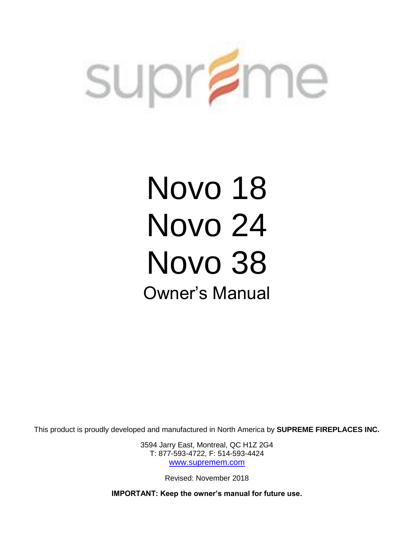

# Novo 18 Novo 24 Novo 38 Owner's Manual

This product is proudly developed and manufactured in North America by **SUPREME FIREPLACES INC.**

3594 Jarry East, Montreal, QC H1Z 2G4 T: 877-593-4722, F: 514-593-4424 [www.supremem.com](http://www.supremem.com/)

Revised: November 2018

**IMPORTANT: Keep the owner's manual for future use.**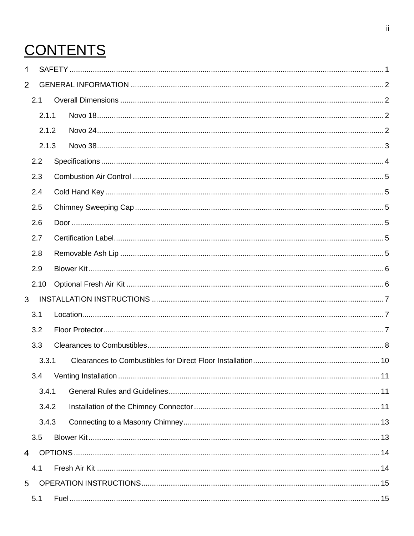# **CONTENTS**

| 1              |       |       |  |
|----------------|-------|-------|--|
| $\overline{2}$ |       |       |  |
|                | 2.1   |       |  |
|                | 2.1.1 |       |  |
|                |       | 2.1.2 |  |
|                |       | 2.1.3 |  |
|                | 2.2   |       |  |
|                | 2.3   |       |  |
|                | 2.4   |       |  |
|                | 2.5   |       |  |
|                | 2.6   |       |  |
|                | 2.7   |       |  |
|                | 2.8   |       |  |
|                | 2.9   |       |  |
|                | 2.10  |       |  |
| 3              |       |       |  |
|                | 3.1   |       |  |
|                | 3.2   |       |  |
|                | 3.3   |       |  |
|                | 3.3.1 |       |  |
|                | 3.4   |       |  |
|                | 3.4.1 |       |  |
|                |       | 3.4.2 |  |
|                |       | 3.4.3 |  |
|                | 3.5   |       |  |
| 4              |       |       |  |
|                | 4.1   |       |  |
| 5              |       |       |  |
|                | 5.1   |       |  |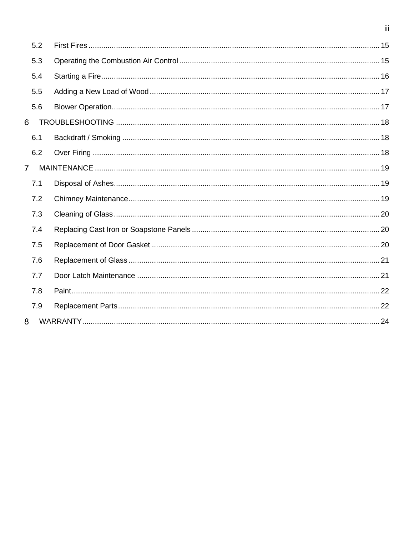|              | 5.2 |  |
|--------------|-----|--|
|              | 5.3 |  |
|              | 5.4 |  |
|              | 5.5 |  |
|              | 5.6 |  |
| 6            |     |  |
|              | 6.1 |  |
|              | 6.2 |  |
| $\mathbf{7}$ |     |  |
|              | 7.1 |  |
|              | 7.2 |  |
|              | 7.3 |  |
|              | 7.4 |  |
|              | 7.5 |  |
|              | 7.6 |  |
|              | 7.7 |  |
|              | 7.8 |  |
|              | 7.9 |  |
| 8            |     |  |

 $\overline{\mathbf{iii}}$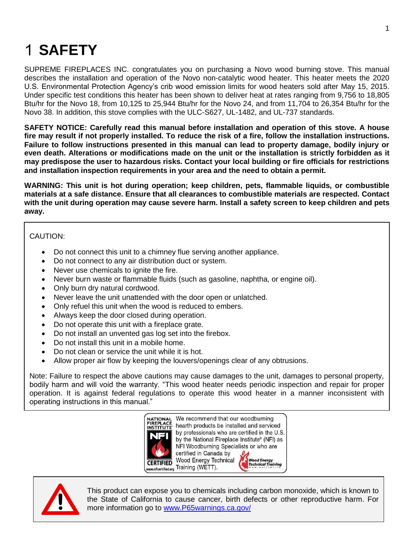# <span id="page-3-0"></span>**SAFETY**

SUPREME FIREPLACES INC. congratulates you on purchasing a Novo wood burning stove. This manual describes the installation and operation of the Novo non-catalytic wood heater. This heater meets the 2020 U.S. Environmental Protection Agency's crib wood emission limits for wood heaters sold after May 15, 2015. Under specific test conditions this heater has been shown to deliver heat at rates ranging from 9,756 to 18,805 Btu/hr for the Novo 18, from 10,125 to 25,944 Btu/hr for the Novo 24, and from 11,704 to 26,354 Btu/hr for the Novo 38. In addition, this stove complies with the ULC-S627, UL-1482, and UL-737 standards.

**SAFETY NOTICE: Carefully read this manual before installation and operation of this stove. A house fire may result if not properly installed. To reduce the risk of a fire, follow the installation instructions. Failure to follow instructions presented in this manual can lead to property damage, bodily injury or even death. Alterations or modifications made on the unit or the installation is strictly forbidden as it may predispose the user to hazardous risks. Contact your local building or fire officials for restrictions and installation inspection requirements in your area and the need to obtain a permit.**

**WARNING: This unit is hot during operation; keep children, pets, flammable liquids, or combustible materials at a safe distance. Ensure that all clearances to combustible materials are respected. Contact with the unit during operation may cause severe harm. Install a safety screen to keep children and pets away.**

CAUTION:

- Do not connect this unit to a chimney flue serving another appliance.
- Do not connect to any air distribution duct or system.
- Never use chemicals to ignite the fire.
- Never burn waste or flammable fluids (such as gasoline, naphtha, or engine oil).
- Only burn dry natural cordwood.
- Never leave the unit unattended with the door open or unlatched.
- Only refuel this unit when the wood is reduced to embers.
- Always keep the door closed during operation.
- Do not operate this unit with a fireplace grate.
- Do not install an unvented gas log set into the firebox.
- Do not install this unit in a mobile home.
- Do not clean or service the unit while it is hot.
- Allow proper air flow by keeping the louvers/openings clear of any obtrusions.

Note: Failure to respect the above cautions may cause damages to the unit, damages to personal property, bodily harm and will void the warranty. "This wood heater needs periodic inspection and repair for proper operation. It is against federal regulations to operate this wood heater in a manner inconsistent with operating instructions in this manual."





This product can expose you to chemicals including carbon monoxide, which is known to the State of California to cause cancer, birth defects or other reproductive harm. For more information go to [www.P65warnings.ca.gov/](file://///supreme-pdc/manuals/18SFC_24SFC_38SFC_STOVE/www.P65warnings.ca.gov/)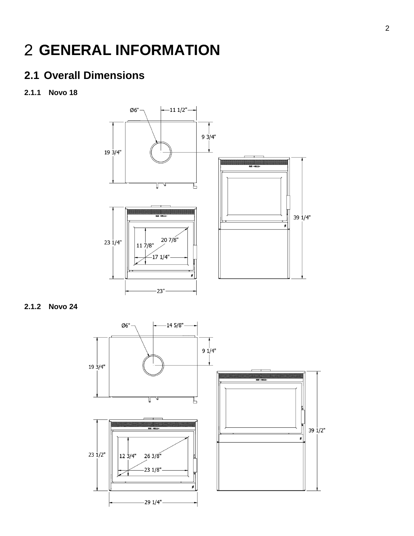## <span id="page-4-0"></span>**GENERAL INFORMATION**

### <span id="page-4-1"></span>**2.1 Overall Dimensions**

<span id="page-4-2"></span>**2.1.1 Novo 18**



<span id="page-4-3"></span>**2.1.2 Novo 24**

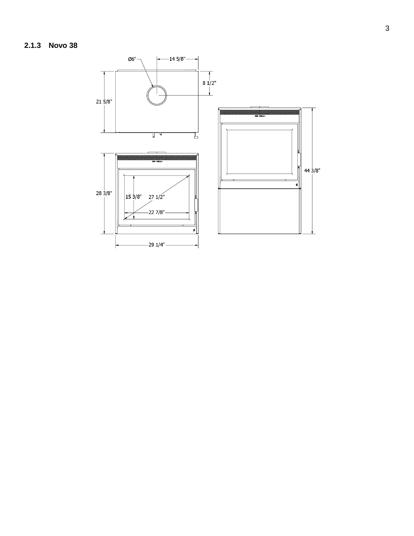<span id="page-5-0"></span>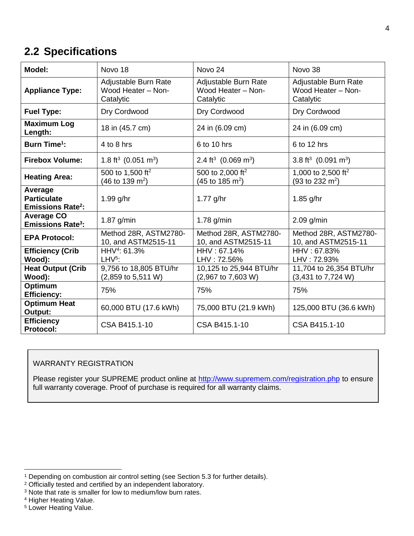#### <span id="page-6-0"></span>**2.2 Specifications**

| Model:                                                              | Novo 18                                                            | Novo 24                                                            | Novo 38                                                              |
|---------------------------------------------------------------------|--------------------------------------------------------------------|--------------------------------------------------------------------|----------------------------------------------------------------------|
| <b>Appliance Type:</b>                                              | Adjustable Burn Rate<br>Wood Heater - Non-<br>Catalytic            | Adjustable Burn Rate<br>Wood Heater - Non-<br>Catalytic            | Adjustable Burn Rate<br>Wood Heater - Non-<br>Catalytic              |
| <b>Fuel Type:</b>                                                   | Dry Cordwood                                                       | Dry Cordwood                                                       | Dry Cordwood                                                         |
| <b>Maximum Log</b><br>Length:                                       | 18 in (45.7 cm)                                                    | 24 in (6.09 cm)                                                    | 24 in (6.09 cm)                                                      |
| <b>Burn Time<sup>1</sup>:</b>                                       | 4 to 8 hrs                                                         | 6 to 10 hrs                                                        | 6 to 12 hrs                                                          |
| <b>Firebox Volume:</b>                                              | 1.8 ft <sup>3</sup> (0.051 m <sup>3</sup> )                        | 2.4 ft <sup>3</sup> (0.069 m <sup>3</sup> )                        | 3.8 ft <sup>3</sup> (0.091 m <sup>3</sup> )                          |
| <b>Heating Area:</b>                                                | 500 to 1,500 ft <sup>2</sup><br>$(46 \text{ to } 139 \text{ m}^2)$ | 500 to 2,000 ft <sup>2</sup><br>$(45 \text{ to } 185 \text{ m}^2)$ | 1,000 to 2,500 ft <sup>2</sup><br>$(93 \text{ to } 232 \text{ m}^2)$ |
| Average<br><b>Particulate</b><br><b>Emissions Rate<sup>2</sup>:</b> | $1.99$ g/hr                                                        | $1.77$ g/hr                                                        | $1.85$ g/hr                                                          |
| <b>Average CO</b><br><b>Emissions Rate<sup>3</sup>:</b>             | $1.87$ g/min                                                       | 1.78 $g/min$                                                       | $2.09$ g/min                                                         |
| <b>EPA Protocol:</b>                                                | Method 28R, ASTM2780-<br>10, and ASTM2515-11                       | Method 28R, ASTM2780-<br>10, and ASTM2515-11                       | Method 28R, ASTM2780-<br>10, and ASTM2515-11                         |
| <b>Efficiency (Crib</b><br>Wood):                                   | HHV <sup>4</sup> : 61.3%<br>$LHV5$ :                               | HHV: 67.14%<br>LHV: 72.56%                                         | HHV: 67.83%<br>LHV: 72.93%                                           |
| <b>Heat Output (Crib</b><br>Wood):                                  | 9,756 to 18,805 BTU/hr<br>(2,859 to 5,511 W)                       | 10,125 to 25,944 BTU/hr<br>(2,967 to 7,603 W)                      | 11,704 to 26,354 BTU/hr<br>(3,431 to 7,724 W)                        |
| Optimum<br><b>Efficiency:</b>                                       | 75%                                                                | 75%                                                                | 75%                                                                  |
| <b>Optimum Heat</b><br>Output:                                      | 60,000 BTU (17.6 kWh)                                              | 75,000 BTU (21.9 kWh)                                              | 125,000 BTU (36.6 kWh)                                               |
| <b>Efficiency</b><br><b>Protocol:</b>                               | CSA B415.1-10                                                      | CSA B415.1-10                                                      | CSA B415.1-10                                                        |

#### WARRANTY REGISTRATION

Please register your SUPREME product online at<http://www.supremem.com/registration.php> to ensure full warranty coverage. Proof of purchase is required for all warranty claims.

 $\overline{a}$ 

<sup>&</sup>lt;sup>1</sup> Depending on combustion air control setting (see Section 5.3 for further details).

<sup>&</sup>lt;sup>2</sup> Officially tested and certified by an independent laboratory.

<sup>&</sup>lt;sup>3</sup> Note that rate is smaller for low to medium/low burn rates.

<sup>4</sup> Higher Heating Value.

<sup>5</sup> Lower Heating Value.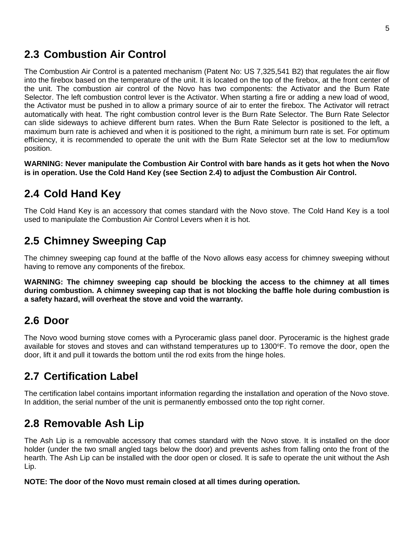#### <span id="page-7-0"></span>**2.3 Combustion Air Control**

The Combustion Air Control is a patented mechanism (Patent No: US 7,325,541 B2) that regulates the air flow into the firebox based on the temperature of the unit. It is located on the top of the firebox, at the front center of the unit. The combustion air control of the Novo has two components: the Activator and the Burn Rate Selector. The left combustion control lever is the Activator. When starting a fire or adding a new load of wood, the Activator must be pushed in to allow a primary source of air to enter the firebox. The Activator will retract automatically with heat. The right combustion control lever is the Burn Rate Selector. The Burn Rate Selector can slide sideways to achieve different burn rates. When the Burn Rate Selector is positioned to the left, a maximum burn rate is achieved and when it is positioned to the right, a minimum burn rate is set. For optimum efficiency, it is recommended to operate the unit with the Burn Rate Selector set at the low to medium/low position.

**WARNING: Never manipulate the Combustion Air Control with bare hands as it gets hot when the Novo is in operation. Use the Cold Hand Key (see Section 2.4) to adjust the Combustion Air Control.**

### <span id="page-7-1"></span>**2.4 Cold Hand Key**

The Cold Hand Key is an accessory that comes standard with the Novo stove. The Cold Hand Key is a tool used to manipulate the Combustion Air Control Levers when it is hot.

### <span id="page-7-2"></span>**2.5 Chimney Sweeping Cap**

The chimney sweeping cap found at the baffle of the Novo allows easy access for chimney sweeping without having to remove any components of the firebox.

**WARNING: The chimney sweeping cap should be blocking the access to the chimney at all times during combustion. A chimney sweeping cap that is not blocking the baffle hole during combustion is a safety hazard, will overheat the stove and void the warranty.**

#### <span id="page-7-3"></span>**2.6 Door**

The Novo wood burning stove comes with a Pyroceramic glass panel door. Pyroceramic is the highest grade available for stoves and stoves and can withstand temperatures up to 1300°F. To remove the door, open the door, lift it and pull it towards the bottom until the rod exits from the hinge holes.

### <span id="page-7-4"></span>**2.7 Certification Label**

The certification label contains important information regarding the installation and operation of the Novo stove. In addition, the serial number of the unit is permanently embossed onto the top right corner.

### <span id="page-7-5"></span>**2.8 Removable Ash Lip**

The Ash Lip is a removable accessory that comes standard with the Novo stove. It is installed on the door holder (under the two small angled tags below the door) and prevents ashes from falling onto the front of the hearth. The Ash Lip can be installed with the door open or closed. It is safe to operate the unit without the Ash Lip.

**NOTE: The door of the Novo must remain closed at all times during operation.**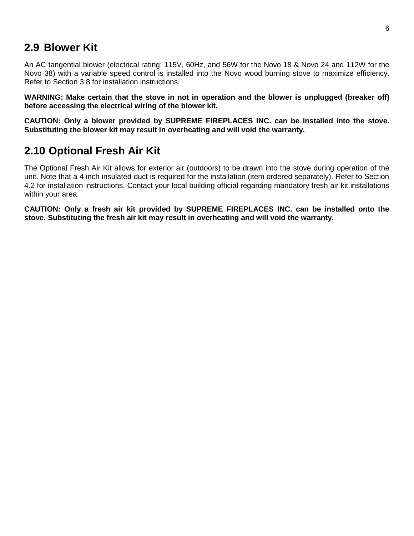#### <span id="page-8-0"></span>**2.9 Blower Kit**

An AC tangential blower (electrical rating: 115V, 60Hz, and 56W for the Novo 18 & Novo 24 and 112W for the Novo 38) with a variable speed control is installed into the Novo wood burning stove to maximize efficiency. Refer to Section 3.8 for installation instructions.

**WARNING: Make certain that the stove in not in operation and the blower is unplugged (breaker off) before accessing the electrical wiring of the blower kit.**

**CAUTION: Only a blower provided by SUPREME FIREPLACES INC. can be installed into the stove. Substituting the blower kit may result in overheating and will void the warranty.**

#### <span id="page-8-1"></span>**2.10 Optional Fresh Air Kit**

The Optional Fresh Air Kit allows for exterior air (outdoors) to be drawn into the stove during operation of the unit. Note that a 4 inch insulated duct is required for the installation (item ordered separately). Refer to Section 4.2 for installation instructions. Contact your local building official regarding mandatory fresh air kit installations within your area.

**CAUTION: Only a fresh air kit provided by SUPREME FIREPLACES INC. can be installed onto the stove. Substituting the fresh air kit may result in overheating and will void the warranty.**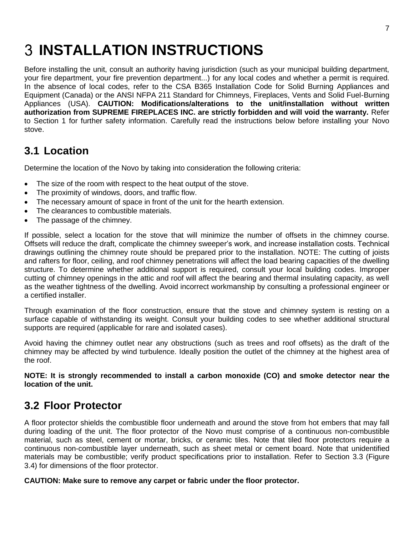# <span id="page-9-0"></span>**INSTALLATION INSTRUCTIONS**

Before installing the unit, consult an authority having jurisdiction (such as your municipal building department, your fire department, your fire prevention department...) for any local codes and whether a permit is required. In the absence of local codes, refer to the CSA B365 Installation Code for Solid Burning Appliances and Equipment (Canada) or the ANSI NFPA 211 Standard for Chimneys, Fireplaces, Vents and Solid Fuel-Burning Appliances (USA). **CAUTION: Modifications/alterations to the unit/installation without written authorization from SUPREME FIREPLACES INC. are strictly forbidden and will void the warranty.** Refer to Section 1 for further safety information. Carefully read the instructions below before installing your Novo stove.

#### <span id="page-9-1"></span>**3.1 Location**

Determine the location of the Novo by taking into consideration the following criteria:

- The size of the room with respect to the heat output of the stove.
- The proximity of windows, doors, and traffic flow.
- The necessary amount of space in front of the unit for the hearth extension.
- The clearances to combustible materials.
- The passage of the chimney.

If possible, select a location for the stove that will minimize the number of offsets in the chimney course. Offsets will reduce the draft, complicate the chimney sweeper's work, and increase installation costs. Technical drawings outlining the chimney route should be prepared prior to the installation. NOTE: The cutting of joists and rafters for floor, ceiling, and roof chimney penetrations will affect the load bearing capacities of the dwelling structure. To determine whether additional support is required, consult your local building codes. Improper cutting of chimney openings in the attic and roof will affect the bearing and thermal insulating capacity, as well as the weather tightness of the dwelling. Avoid incorrect workmanship by consulting a professional engineer or a certified installer.

Through examination of the floor construction, ensure that the stove and chimney system is resting on a surface capable of withstanding its weight. Consult your building codes to see whether additional structural supports are required (applicable for rare and isolated cases).

Avoid having the chimney outlet near any obstructions (such as trees and roof offsets) as the draft of the chimney may be affected by wind turbulence. Ideally position the outlet of the chimney at the highest area of the roof.

**NOTE: It is strongly recommended to install a carbon monoxide (CO) and smoke detector near the location of the unit.**

#### <span id="page-9-2"></span>**3.2 Floor Protector**

A floor protector shields the combustible floor underneath and around the stove from hot embers that may fall during loading of the unit. The floor protector of the Novo must comprise of a continuous non-combustible material, such as steel, cement or mortar, bricks, or ceramic tiles. Note that tiled floor protectors require a continuous non-combustible layer underneath, such as sheet metal or cement board. Note that unidentified materials may be combustible; verify product specifications prior to installation. Refer to Section 3.3 (Figure 3.4) for dimensions of the floor protector.

**CAUTION: Make sure to remove any carpet or fabric under the floor protector.**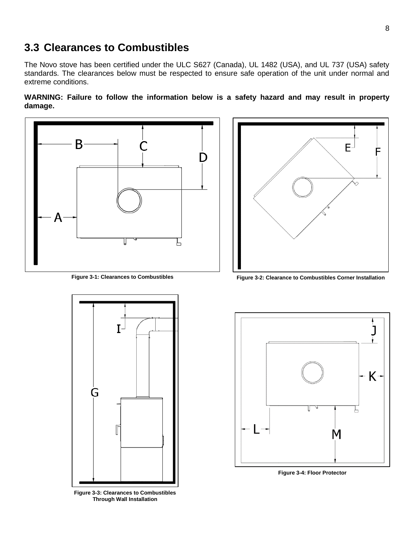#### <span id="page-10-0"></span>**3.3 Clearances to Combustibles**

The Novo stove has been certified under the ULC S627 (Canada), UL 1482 (USA), and UL 737 (USA) safety standards. The clearances below must be respected to ensure safe operation of the unit under normal and extreme conditions.

**WARNING: Failure to follow the information below is a safety hazard and may result in property damage.**





**Figure 3-3: Clearances to Combustibles Through Wall Installation**



**Figure 3-1: Clearances to Combustibles Figure 3-2: Clearance to Combustibles Corner Installation**



**Figure 3-4: Floor Protector**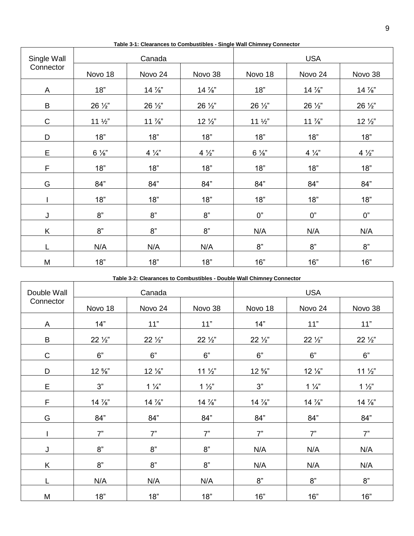| Single Wall  | Canada          |                 |                 | <b>USA</b>      |                 |                 |
|--------------|-----------------|-----------------|-----------------|-----------------|-----------------|-----------------|
| Connector    | Novo 18         | Novo 24         | Novo 38         | Novo 18         | Novo 24         | Novo 38         |
| $\mathsf{A}$ | 18"             | 14 %"           | 14 %"           | 18"             | 14 %"           | $14\frac{7}{8}$ |
| $\sf B$      | 26 1/2"         | 26 1/2"         | 26 1/2"         | 26 1/2"         | 26 1/2"         | 26 1/2"         |
| $\mathsf C$  | $11\frac{1}{2}$ | $11\frac{7}{8}$ | $12\frac{1}{2}$ | $11\frac{1}{2}$ | $11\frac{7}{8}$ | $12\frac{1}{2}$ |
| D            | 18"             | 18"             | 18"             | 18"             | 18"             | 18"             |
| $\mathsf E$  | $6\frac{1}{8}$  | $4\frac{1}{4}$  | $4\frac{1}{2}$  | $6\frac{1}{8}$  | $4\frac{1}{4}$  | $4\frac{1}{2}$  |
| F            | 18"             | 18"             | 18"             | 18"             | 18"             | 18"             |
| G            | 84"             | 84"             | 84"             | 84"             | 84"             | 84"             |
|              | 18"             | 18"             | 18"             | 18"             | 18"             | 18"             |
| J            | 8"              | 8"              | 8"              | 0"              | 0"              | 0"              |
| K            | 8"              | 8"              | 8"              | N/A             | N/A             | N/A             |
| L            | N/A             | N/A             | N/A             | 8"              | 8"              | 8"              |
| M            | 18"             | 18"             | 18"             | 16"             | 16"             | 16"             |

**Table 3-1: Clearances to Combustibles - Single Wall Chimney Connector**

I.

Г

┱

┯

**Table 3-2: Clearances to Combustibles - Double Wall Chimney Connector**

| Double Wall | Canada          |                 |                 | <b>USA</b>      |                 |                 |
|-------------|-----------------|-----------------|-----------------|-----------------|-----------------|-----------------|
| Connector   | Novo 18         | Novo 24         | Novo 38         | Novo 18         | Novo 24         | Novo 38         |
| A           | 14"             | 11"             | 11"             | 14"             | 11"             | 11"             |
| B           | $22\frac{1}{2}$ | $22\frac{1}{2}$ | $22\frac{1}{2}$ | $22\frac{1}{2}$ | $22\frac{1}{2}$ | $22\frac{1}{2}$ |
| $\mathsf C$ | 6"              | 6"              | 6"              | 6"              | 6"              | 6"              |
| D           | $12\frac{5}{8}$ | $12\frac{1}{8}$ | $11\frac{1}{2}$ | $12\frac{5}{8}$ | 12 %"           | $11\frac{1}{2}$ |
| E           | 3"              | $1\frac{1}{4}$  | $1\frac{1}{2}$  | 3"              | $1\frac{1}{4}$  | $1\frac{1}{2}$  |
| F           | 14 %"           | $14\frac{7}{8}$ | $14\frac{7}{8}$ | 14 %"           | 14 %"           | 14 %"           |
| G           | 84"             | 84"             | 84"             | 84"             | 84"             | 84"             |
|             | 7"              | 7"              | 7"              | 7"              | 7"              | 7"              |
| J           | 8"              | 8"              | 8"              | N/A             | N/A             | N/A             |
| K           | 8"              | 8"              | 8"              | N/A             | N/A             | N/A             |
|             | N/A             | N/A             | N/A             | 8"              | 8"              | 8"              |
| M           | 18"             | 18"             | 18"             | 16"             | 16"             | 16"             |

٦

٦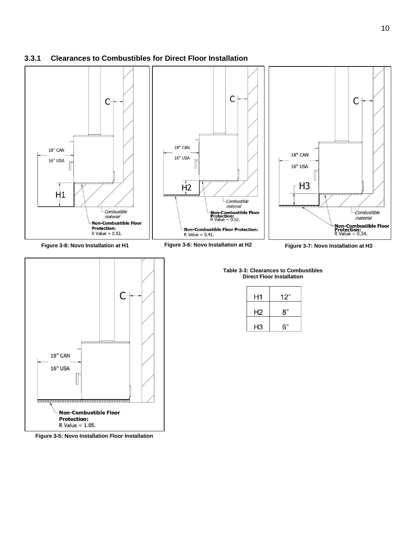#### <span id="page-12-0"></span>**3.3.1 Clearances to Combustibles for Direct Floor Installation**



C **18" CAN 16" USA Non-Combustible Floor Protection:**  $R$  Value = 1.05.

**Figure 3-5: Novo Installation Floor Installation**

#### **Direct Floor Installation**

| H1 | 12" |
|----|-----|
| Н2 | 8"  |
| H3 | 6"  |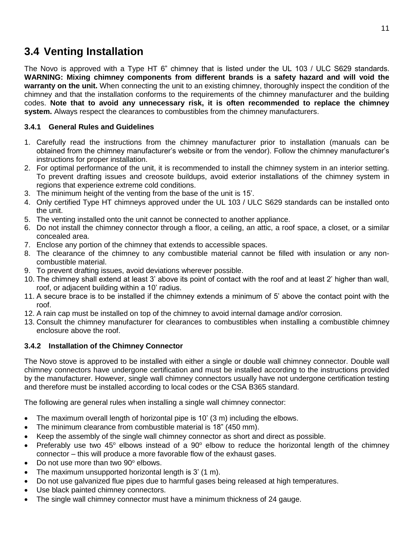#### <span id="page-13-0"></span>**3.4 Venting Installation**

The Novo is approved with a Type HT 6" chimney that is listed under the UL 103 / ULC S629 standards. **WARNING: Mixing chimney components from different brands is a safety hazard and will void the warranty on the unit.** When connecting the unit to an existing chimney, thoroughly inspect the condition of the chimney and that the installation conforms to the requirements of the chimney manufacturer and the building codes. **Note that to avoid any unnecessary risk, it is often recommended to replace the chimney system.** Always respect the clearances to combustibles from the chimney manufacturers.

#### <span id="page-13-1"></span>**3.4.1 General Rules and Guidelines**

- 1. Carefully read the instructions from the chimney manufacturer prior to installation (manuals can be obtained from the chimney manufacturer's website or from the vendor). Follow the chimney manufacturer's instructions for proper installation.
- 2. For optimal performance of the unit, it is recommended to install the chimney system in an interior setting. To prevent drafting issues and creosote buildups, avoid exterior installations of the chimney system in regions that experience extreme cold conditions.
- 3. The minimum height of the venting from the base of the unit is 15'.
- 4. Only certified Type HT chimneys approved under the UL 103 / ULC S629 standards can be installed onto the unit.
- 5. The venting installed onto the unit cannot be connected to another appliance.
- 6. Do not install the chimney connector through a floor, a ceiling, an attic, a roof space, a closet, or a similar concealed area.
- 7. Enclose any portion of the chimney that extends to accessible spaces.
- 8. The clearance of the chimney to any combustible material cannot be filled with insulation or any noncombustible material.
- 9. To prevent drafting issues, avoid deviations wherever possible.
- 10. The chimney shall extend at least 3' above its point of contact with the roof and at least 2' higher than wall, roof, or adjacent building within a 10' radius.
- 11. A secure brace is to be installed if the chimney extends a minimum of 5' above the contact point with the roof.
- 12. A rain cap must be installed on top of the chimney to avoid internal damage and/or corrosion.
- 13. Consult the chimney manufacturer for clearances to combustibles when installing a combustible chimney enclosure above the roof.

#### <span id="page-13-2"></span>**3.4.2 Installation of the Chimney Connector**

The Novo stove is approved to be installed with either a single or double wall chimney connector. Double wall chimney connectors have undergone certification and must be installed according to the instructions provided by the manufacturer. However, single wall chimney connectors usually have not undergone certification testing and therefore must be installed according to local codes or the CSA B365 standard.

The following are general rules when installing a single wall chimney connector:

- The maximum overall length of horizontal pipe is 10' (3 m) including the elbows.
- The minimum clearance from combustible material is 18" (450 mm).
- Keep the assembly of the single wall chimney connector as short and direct as possible.
- Preferably use two 45 $^{\circ}$  elbows instead of a 90 $^{\circ}$  elbow to reduce the horizontal length of the chimney connector – this will produce a more favorable flow of the exhaust gases.
- Do not use more than two 90° elbows.
- The maximum unsupported horizontal length is 3' (1 m).
- Do not use galvanized flue pipes due to harmful gases being released at high temperatures.
- Use black painted chimney connectors.
- The single wall chimney connector must have a minimum thickness of 24 gauge.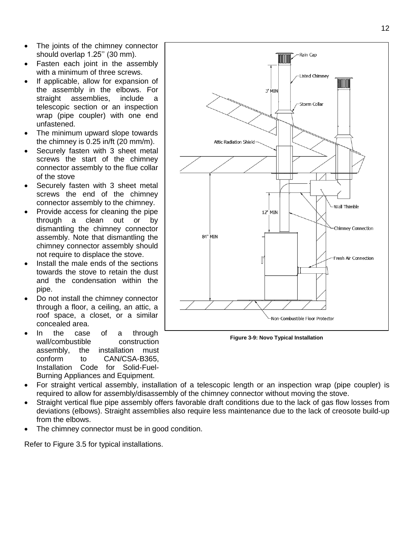- The joints of the chimney connector should overlap 1.25'' (30 mm).
- Fasten each joint in the assembly with a minimum of three screws.
- If applicable, allow for expansion of the assembly in the elbows. For straight assemblies, include a telescopic section or an inspection wrap (pipe coupler) with one end unfastened.
- The minimum upward slope towards the chimney is 0.25 in/ft (20 mm/m).
- Securely fasten with 3 sheet metal screws the start of the chimney connector assembly to the flue collar of the stove
- Securely fasten with 3 sheet metal screws the end of the chimney connector assembly to the chimney.
- Provide access for cleaning the pipe through a clean out or by dismantling the chimney connector assembly. Note that dismantling the chimney connector assembly should not require to displace the stove.
- Install the male ends of the sections towards the stove to retain the dust and the condensation within the pipe.
- Do not install the chimney connector through a floor, a ceiling, an attic, a roof space, a closet, or a similar concealed area.
- In the case of a through wall/combustible construction assembly, the installation must conform to CAN/CSA-B365, Installation Code for Solid-Fuel-Burning Appliances and Equipment.



**Figure 3-9: Novo Typical Installation**

- For straight vertical assembly, installation of a telescopic length or an inspection wrap (pipe coupler) is required to allow for assembly/disassembly of the chimney connector without moving the stove.
- Straight vertical flue pipe assembly offers favorable draft conditions due to the lack of gas flow losses from deviations (elbows). Straight assemblies also require less maintenance due to the lack of creosote build-up from the elbows.
- The chimney connector must be in good condition.

Refer to Figure 3.5 for typical installations.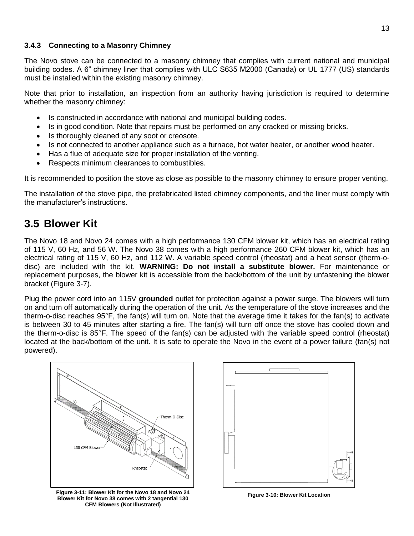#### <span id="page-15-0"></span>**3.4.3 Connecting to a Masonry Chimney**

The Novo stove can be connected to a masonry chimney that complies with current national and municipal building codes. A 6" chimney liner that complies with ULC S635 M2000 (Canada) or UL 1777 (US) standards must be installed within the existing masonry chimney.

Note that prior to installation, an inspection from an authority having jurisdiction is required to determine whether the masonry chimney:

- Is constructed in accordance with national and municipal building codes.
- Is in good condition. Note that repairs must be performed on any cracked or missing bricks.
- Is thoroughly cleaned of any soot or creosote.
- Is not connected to another appliance such as a furnace, hot water heater, or another wood heater.
- Has a flue of adequate size for proper installation of the venting.
- Respects minimum clearances to combustibles.

It is recommended to position the stove as close as possible to the masonry chimney to ensure proper venting.

The installation of the stove pipe, the prefabricated listed chimney components, and the liner must comply with the manufacturer's instructions.

#### <span id="page-15-1"></span>**3.5 Blower Kit**

The Novo 18 and Novo 24 comes with a high performance 130 CFM blower kit, which has an electrical rating of 115 V, 60 Hz, and 56 W. The Novo 38 comes with a high performance 260 CFM blower kit, which has an electrical rating of 115 V, 60 Hz, and 112 W. A variable speed control (rheostat) and a heat sensor (therm-odisc) are included with the kit. **WARNING: Do not install a substitute blower.** For maintenance or replacement purposes, the blower kit is accessible from the back/bottom of the unit by unfastening the blower bracket (Figure 3-7).

Plug the power cord into an 115V **grounded** outlet for protection against a power surge. The blowers will turn on and turn off automatically during the operation of the unit. As the temperature of the stove increases and the therm-o-disc reaches 95°F, the fan(s) will turn on. Note that the average time it takes for the fan(s) to activate is between 30 to 45 minutes after starting a fire. The fan(s) will turn off once the stove has cooled down and the therm-o-disc is 85°F. The speed of the fan(s) can be adjusted with the variable speed control (rheostat) located at the back/bottom of the unit. It is safe to operate the Novo in the event of a power failure (fan(s) not powered).



**Figure 3-11: Blower Kit for the Novo 18 and Novo 24 Figure 3-10: Blower Kit Location Blower Kit for Novo 38 comes with 2 tangential 130 CFM Blowers (Not Illustrated)**

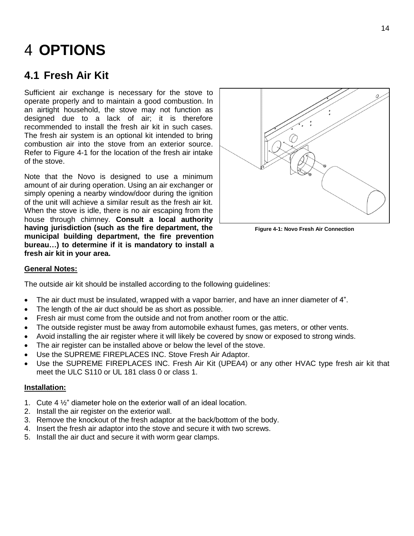# <span id="page-16-0"></span>**OPTIONS**

#### <span id="page-16-1"></span>**4.1 Fresh Air Kit**

Sufficient air exchange is necessary for the stove to operate properly and to maintain a good combustion. In an airtight household, the stove may not function as designed due to a lack of air; it is therefore recommended to install the fresh air kit in such cases. The fresh air system is an optional kit intended to bring combustion air into the stove from an exterior source. Refer to Figure 4-1 for the location of the fresh air intake of the stove.

Note that the Novo is designed to use a minimum amount of air during operation. Using an air exchanger or simply opening a nearby window/door during the ignition of the unit will achieve a similar result as the fresh air kit. When the stove is idle, there is no air escaping from the house through chimney. **Consult a local authority having jurisdiction (such as the fire department, the municipal building department, the fire prevention bureau…) to determine if it is mandatory to install a fresh air kit in your area.**



**Figure 4-1: Novo Fresh Air Connection**

#### **General Notes:**

The outside air kit should be installed according to the following guidelines:

- The air duct must be insulated, wrapped with a vapor barrier, and have an inner diameter of 4".
- The length of the air duct should be as short as possible.
- Fresh air must come from the outside and not from another room or the attic.
- The outside register must be away from automobile exhaust fumes, gas meters, or other vents.
- Avoid installing the air register where it will likely be covered by snow or exposed to strong winds.
- The air register can be installed above or below the level of the stove.
- Use the SUPREME FIREPLACES INC. Stove Fresh Air Adaptor.
- Use the SUPREME FIREPLACES INC. Fresh Air Kit (UPEA4) or any other HVAC type fresh air kit that meet the ULC S110 or UL 181 class 0 or class 1.

#### **Installation:**

- 1. Cute 4 ½" diameter hole on the exterior wall of an ideal location.
- 2. Install the air register on the exterior wall.
- 3. Remove the knockout of the fresh adaptor at the back/bottom of the body.
- 4. Insert the fresh air adaptor into the stove and secure it with two screws.
- 5. Install the air duct and secure it with worm gear clamps.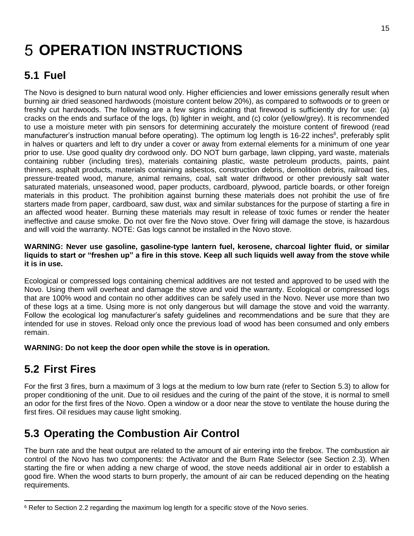# <span id="page-17-0"></span>**5 OPERATION INSTRUCTIONS**

### <span id="page-17-1"></span>**5.1 Fuel**

The Novo is designed to burn natural wood only. Higher efficiencies and lower emissions generally result when burning air dried seasoned hardwoods (moisture content below 20%), as compared to softwoods or to green or freshly cut hardwoods. The following are a few signs indicating that firewood is sufficiently dry for use: (a) cracks on the ends and surface of the logs, (b) lighter in weight, and (c) color (yellow/grey). It is recommended to use a moisture meter with pin sensors for determining accurately the moisture content of firewood (read manufacturer's instruction manual before operating). The optimum log length is 16-22 inches<sup>6</sup>, preferably split in halves or quarters and left to dry under a cover or away from external elements for a minimum of one year prior to use. Use good quality dry cordwood only. DO NOT burn garbage, lawn clipping, yard waste, materials containing rubber (including tires), materials containing plastic, waste petroleum products, paints, paint thinners, asphalt products, materials containing asbestos, construction debris, demolition debris, railroad ties, pressure-treated wood, manure, animal remains, coal, salt water driftwood or other previously salt water saturated materials, unseasoned wood, paper products, cardboard, plywood, particle boards, or other foreign materials in this product. The prohibition against burning these materials does not prohibit the use of fire starters made from paper, cardboard, saw dust, wax and similar substances for the purpose of starting a fire in an affected wood heater. Burning these materials may result in release of toxic fumes or render the heater ineffective and cause smoke. Do not over fire the Novo stove. Over firing will damage the stove, is hazardous and will void the warranty. NOTE: Gas logs cannot be installed in the Novo stove.

#### **WARNING: Never use gasoline, gasoline-type lantern fuel, kerosene, charcoal lighter fluid, or similar liquids to start or "freshen up" a fire in this stove. Keep all such liquids well away from the stove while it is in use.**

Ecological or compressed logs containing chemical additives are not tested and approved to be used with the Novo. Using them will overheat and damage the stove and void the warranty. Ecological or compressed logs that are 100% wood and contain no other additives can be safely used in the Novo. Never use more than two of these logs at a time. Using more is not only dangerous but will damage the stove and void the warranty. Follow the ecological log manufacturer's safety guidelines and recommendations and be sure that they are intended for use in stoves. Reload only once the previous load of wood has been consumed and only embers remain.

**WARNING: Do not keep the door open while the stove is in operation.**

### <span id="page-17-2"></span>**5.2 First Fires**

For the first 3 fires, burn a maximum of 3 logs at the medium to low burn rate (refer to Section 5.3) to allow for proper conditioning of the unit. Due to oil residues and the curing of the paint of the stove, it is normal to smell an odor for the first fires of the Novo. Open a window or a door near the stove to ventilate the house during the first fires. Oil residues may cause light smoking.

### <span id="page-17-3"></span>**5.3 Operating the Combustion Air Control**

The burn rate and the heat output are related to the amount of air entering into the firebox. The combustion air control of the Novo has two components: the Activator and the Burn Rate Selector (see Section 2.3). When starting the fire or when adding a new charge of wood, the stove needs additional air in order to establish a good fire. When the wood starts to burn properly, the amount of air can be reduced depending on the heating requirements.

 $\overline{a}$ <sup>6</sup> Refer to Section 2.2 regarding the maximum log length for a specific stove of the Novo series.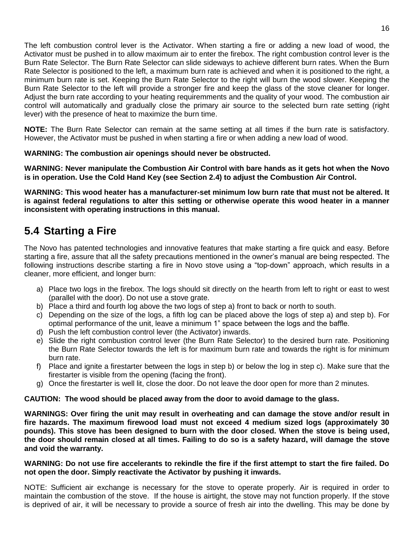The left combustion control lever is the Activator. When starting a fire or adding a new load of wood, the Activator must be pushed in to allow maximum air to enter the firebox. The right combustion control lever is the Burn Rate Selector. The Burn Rate Selector can slide sideways to achieve different burn rates. When the Burn Rate Selector is positioned to the left, a maximum burn rate is achieved and when it is positioned to the right, a minimum burn rate is set. Keeping the Burn Rate Selector to the right will burn the wood slower. Keeping the Burn Rate Selector to the left will provide a stronger fire and keep the glass of the stove cleaner for longer. Adjust the burn rate according to your heating requiremments and the quality of your wood. The combustion air control will automatically and gradually close the primary air source to the selected burn rate setting (right lever) with the presence of heat to maximize the burn time.

**NOTE:** The Burn Rate Selector can remain at the same setting at all times if the burn rate is satisfactory. However, the Activator must be pushed in when starting a fire or when adding a new load of wood.

#### **WARNING: The combustion air openings should never be obstructed.**

**WARNING: Never manipulate the Combustion Air Control with bare hands as it gets hot when the Novo is in operation. Use the Cold Hand Key (see Section 2.4) to adjust the Combustion Air Control.**

**WARNING: This wood heater has a manufacturer-set minimum low burn rate that must not be altered. It is against federal regulations to alter this setting or otherwise operate this wood heater in a manner inconsistent with operating instructions in this manual.**

### <span id="page-18-0"></span>**5.4 Starting a Fire**

The Novo has patented technologies and innovative features that make starting a fire quick and easy. Before starting a fire, assure that all the safety precautions mentioned in the owner's manual are being respected. The following instructions describe starting a fire in Novo stove using a "top-down" approach, which results in a cleaner, more efficient, and longer burn:

- a) Place two logs in the firebox. The logs should sit directly on the hearth from left to right or east to west (parallel with the door). Do not use a stove grate.
- b) Place a third and fourth log above the two logs of step a) front to back or north to south.
- c) Depending on the size of the logs, a fifth log can be placed above the logs of step a) and step b). For optimal performance of the unit, leave a minimum 1" space between the logs and the baffle.
- d) Push the left combustion control lever (the Activator) inwards.
- e) Slide the right combustion control lever (the Burn Rate Selector) to the desired burn rate. Positioning the Burn Rate Selector towards the left is for maximum burn rate and towards the right is for minimum burn rate.
- f) Place and ignite a firestarter between the logs in step b) or below the log in step c). Make sure that the firestarter is visible from the opening (facing the front).
- g) Once the firestarter is well lit, close the door. Do not leave the door open for more than 2 minutes.

#### **CAUTION: The wood should be placed away from the door to avoid damage to the glass.**

**WARNINGS: Over firing the unit may result in overheating and can damage the stove and/or result in fire hazards. The maximum firewood load must not exceed 4 medium sized logs (approximately 30 pounds). This stove has been designed to burn with the door closed. When the stove is being used, the door should remain closed at all times. Failing to do so is a safety hazard, will damage the stove and void the warranty.**

#### **WARNING: Do not use fire accelerants to rekindle the fire if the first attempt to start the fire failed. Do not open the door. Simply reactivate the Activator by pushing it inwards.**

NOTE: Sufficient air exchange is necessary for the stove to operate properly. Air is required in order to maintain the combustion of the stove. If the house is airtight, the stove may not function properly. If the stove is deprived of air, it will be necessary to provide a source of fresh air into the dwelling. This may be done by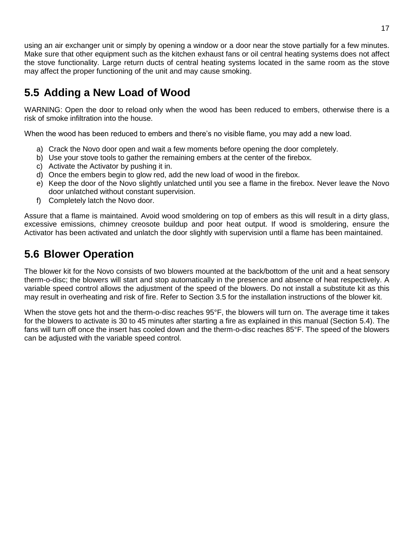using an air exchanger unit or simply by opening a window or a door near the stove partially for a few minutes. Make sure that other equipment such as the kitchen exhaust fans or oil central heating systems does not affect the stove functionality. Large return ducts of central heating systems located in the same room as the stove may affect the proper functioning of the unit and may cause smoking.

### <span id="page-19-0"></span>**5.5 Adding a New Load of Wood**

WARNING: Open the door to reload only when the wood has been reduced to embers, otherwise there is a risk of smoke infiltration into the house.

When the wood has been reduced to embers and there's no visible flame, you may add a new load.

- a) Crack the Novo door open and wait a few moments before opening the door completely.
- b) Use your stove tools to gather the remaining embers at the center of the firebox.
- c) Activate the Activator by pushing it in.
- d) Once the embers begin to glow red, add the new load of wood in the firebox.
- e) Keep the door of the Novo slightly unlatched until you see a flame in the firebox. Never leave the Novo door unlatched without constant supervision.
- f) Completely latch the Novo door.

Assure that a flame is maintained. Avoid wood smoldering on top of embers as this will result in a dirty glass, excessive emissions, chimney creosote buildup and poor heat output. If wood is smoldering, ensure the Activator has been activated and unlatch the door slightly with supervision until a flame has been maintained.

### <span id="page-19-1"></span>**5.6 Blower Operation**

The blower kit for the Novo consists of two blowers mounted at the back/bottom of the unit and a heat sensory therm-o-disc; the blowers will start and stop automatically in the presence and absence of heat respectively. A variable speed control allows the adjustment of the speed of the blowers. Do not install a substitute kit as this may result in overheating and risk of fire. Refer to Section 3.5 for the installation instructions of the blower kit.

When the stove gets hot and the therm-o-disc reaches 95°F, the blowers will turn on. The average time it takes for the blowers to activate is 30 to 45 minutes after starting a fire as explained in this manual (Section 5.4). The fans will turn off once the insert has cooled down and the therm-o-disc reaches 85°F. The speed of the blowers can be adjusted with the variable speed control.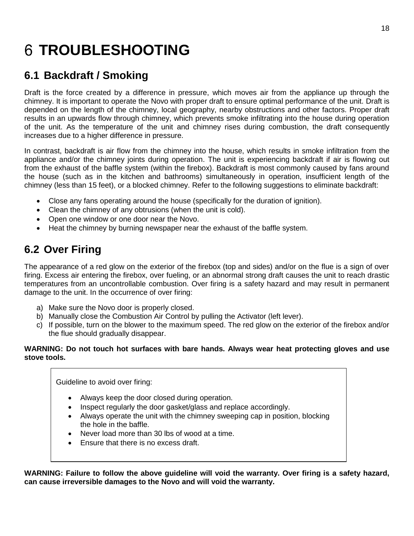# <span id="page-20-0"></span>**TROUBLESHOOTING**

### <span id="page-20-1"></span>**6.1 Backdraft / Smoking**

Draft is the force created by a difference in pressure, which moves air from the appliance up through the chimney. It is important to operate the Novo with proper draft to ensure optimal performance of the unit. Draft is depended on the length of the chimney, local geography, nearby obstructions and other factors. Proper draft results in an upwards flow through chimney, which prevents smoke infiltrating into the house during operation of the unit. As the temperature of the unit and chimney rises during combustion, the draft consequently increases due to a higher difference in pressure.

In contrast, backdraft is air flow from the chimney into the house, which results in smoke infiltration from the appliance and/or the chimney joints during operation. The unit is experiencing backdraft if air is flowing out from the exhaust of the baffle system (within the firebox). Backdraft is most commonly caused by fans around the house (such as in the kitchen and bathrooms) simultaneously in operation, insufficient length of the chimney (less than 15 feet), or a blocked chimney. Refer to the following suggestions to eliminate backdraft:

- Close any fans operating around the house (specifically for the duration of ignition).
- Clean the chimney of any obtrusions (when the unit is cold).
- Open one window or one door near the Novo.
- Heat the chimney by burning newspaper near the exhaust of the baffle system.

### <span id="page-20-2"></span>**6.2 Over Firing**

The appearance of a red glow on the exterior of the firebox (top and sides) and/or on the flue is a sign of over firing. Excess air entering the firebox, over fueling, or an abnormal strong draft causes the unit to reach drastic temperatures from an uncontrollable combustion. Over firing is a safety hazard and may result in permanent damage to the unit. In the occurrence of over firing:

- a) Make sure the Novo door is properly closed.
- b) Manually close the Combustion Air Control by pulling the Activator (left lever).
- c) If possible, turn on the blower to the maximum speed. The red glow on the exterior of the firebox and/or the flue should gradually disappear.

#### **WARNING: Do not touch hot surfaces with bare hands. Always wear heat protecting gloves and use stove tools.**

Guideline to avoid over firing:

- Always keep the door closed during operation.
- Inspect regularly the door gasket/glass and replace accordingly.
- Always operate the unit with the chimney sweeping cap in position, blocking the hole in the baffle.
- Never load more than 30 lbs of wood at a time.
- Ensure that there is no excess draft.

**WARNING: Failure to follow the above guideline will void the warranty. Over firing is a safety hazard, can cause irreversible damages to the Novo and will void the warranty.**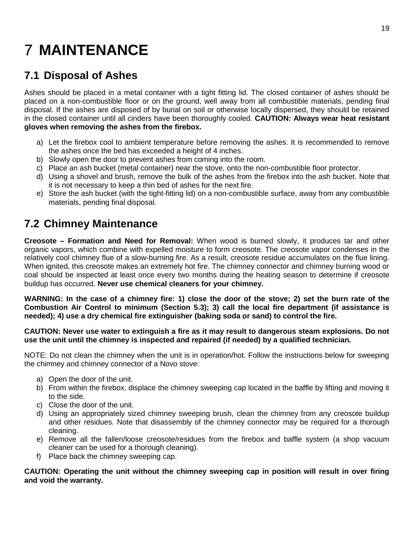# <span id="page-21-0"></span>**7 MAINTENANCE**

### <span id="page-21-1"></span>**7.1 Disposal of Ashes**

Ashes should be placed in a metal container with a tight fitting lid. The closed container of ashes should be placed on a non-combustible floor or on the ground, well away from all combustible materials, pending final disposal. If the ashes are disposed of by burial on soil or otherwise locally dispersed, they should be retained in the closed container until all cinders have been thoroughly cooled. **CAUTION: Always wear heat resistant gloves when removing the ashes from the firebox.**

- a) Let the firebox cool to ambient temperature before removing the ashes. It is recommended to remove the ashes once the bed has exceeded a height of 4 inches.
- b) Slowly open the door to prevent ashes from coming into the room.
- c) Place an ash bucket (metal container) near the stove, onto the non-combustible floor protector.
- d) Using a shovel and brush, remove the bulk of the ashes from the firebox into the ash bucket. Note that it is not necessary to keep a thin bed of ashes for the next fire.
- e) Store the ash bucket (with the tight-fitting lid) on a non-combustible surface, away from any combustible materials, pending final disposal.

### <span id="page-21-2"></span>**7.2 Chimney Maintenance**

**Creosote – Formation and Need for Removal:** When wood is burned slowly, it produces tar and other organic vapors, which combine with expelled moisture to form creosote. The creosote vapor condenses in the relatively cool chimney flue of a slow-burning fire. As a result, creosote residue accumulates on the flue lining. When ignited, this creosote makes an extremely hot fire. The chimney connector and chimney burning wood or coal should be inspected at least once every two months during the heating season to determine if creosote buildup has occurred. **Never use chemical cleaners for your chimney.**

**WARNING: In the case of a chimney fire: 1) close the door of the stove; 2) set the burn rate of the Combustion Air Control to minimum (Section 5.3); 3) call the local fire department (if assistance is needed); 4) use a dry chemical fire extinguisher (baking soda or sand) to control the fire.**

#### **CAUTION: Never use water to extinguish a fire as it may result to dangerous steam explosions. Do not use the unit until the chimney is inspected and repaired (if needed) by a qualified technician.**

NOTE: Do not clean the chimney when the unit is in operation/hot. Follow the instructions below for sweeping the chimney and chimney connector of a Novo stove:

- a) Open the door of the unit.
- b) From within the firebox, displace the chimney sweeping cap located in the baffle by lifting and moving it to the side.
- c) Close the door of the unit.
- d) Using an appropriately sized chimney sweeping brush, clean the chimney from any creosote buildup and other residues. Note that disassembly of the chimney connector may be required for a thorough cleaning.
- e) Remove all the fallen/loose creosote/residues from the firebox and baffle system (a shop vacuum cleaner can be used for a thorough cleaning).
- f) Place back the chimney sweeping cap.

**CAUTION: Operating the unit without the chimney sweeping cap in position will result in over firing and void the warranty.**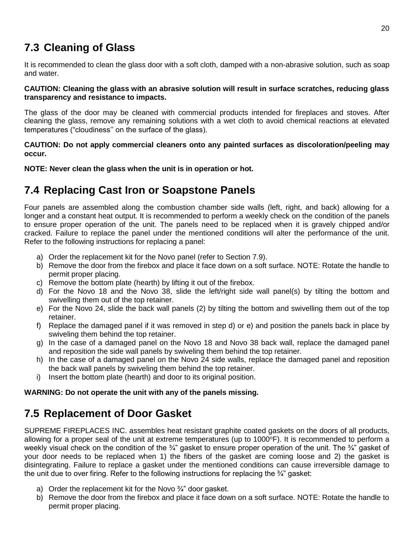### <span id="page-22-0"></span>**7.3 Cleaning of Glass**

It is recommended to clean the glass door with a soft cloth, damped with a non-abrasive solution, such as soap and water.

#### **CAUTION: Cleaning the glass with an abrasive solution will result in surface scratches, reducing glass transparency and resistance to impacts.**

The glass of the door may be cleaned with commercial products intended for fireplaces and stoves. After cleaning the glass, remove any remaining solutions with a wet cloth to avoid chemical reactions at elevated temperatures ("cloudiness'' on the surface of the glass).

#### **CAUTION: Do not apply commercial cleaners onto any painted surfaces as discoloration/peeling may occur.**

**NOTE: Never clean the glass when the unit is in operation or hot.**

### <span id="page-22-1"></span>**7.4 Replacing Cast Iron or Soapstone Panels**

Four panels are assembled along the combustion chamber side walls (left, right, and back) allowing for a longer and a constant heat output. It is recommended to perform a weekly check on the condition of the panels to ensure proper operation of the unit. The panels need to be replaced when it is gravely chipped and/or cracked. Failure to replace the panel under the mentioned conditions will alter the performance of the unit. Refer to the following instructions for replacing a panel:

- a) Order the replacement kit for the Novo panel (refer to Section 7.9).
- b) Remove the door from the firebox and place it face down on a soft surface. NOTE: Rotate the handle to permit proper placing.
- c) Remove the bottom plate (hearth) by lifting it out of the firebox.
- d) For the Novo 18 and the Novo 38, slide the left/right side wall panel(s) by tilting the bottom and swivelling them out of the top retainer.
- e) For the Novo 24, slide the back wall panels (2) by tilting the bottom and swivelling them out of the top retainer.
- f) Replace the damaged panel if it was removed in step d) or e) and position the panels back in place by swiveling them behind the top retainer.
- g) In the case of a damaged panel on the Novo 18 and Novo 38 back wall, replace the damaged panel and reposition the side wall panels by swiveling them behind the top retainer.
- h) In the case of a damaged panel on the Novo 24 side walls, replace the damaged panel and reposition the back wall panels by swiveling them behind the top retainer.
- i) Insert the bottom plate (hearth) and door to its original position.

#### **WARNING: Do not operate the unit with any of the panels missing.**

#### <span id="page-22-2"></span>**7.5 Replacement of Door Gasket**

SUPREME FIREPLACES INC. assembles heat resistant graphite coated gaskets on the doors of all products, allowing for a proper seal of the unit at extreme temperatures (up to  $1000^\circ F$ ). It is recommended to perform a weekly visual check on the condition of the ¾" gasket to ensure proper operation of the unit. The ¾" gasket of your door needs to be replaced when 1) the fibers of the gasket are coming loose and 2) the gasket is disintegrating. Failure to replace a gasket under the mentioned conditions can cause irreversible damage to the unit due to over firing. Refer to the following instructions for replacing the  $\frac{3}{4}$  gasket:

- a) Order the replacement kit for the Novo ¾" door gasket.
- b) Remove the door from the firebox and place it face down on a soft surface. NOTE: Rotate the handle to permit proper placing.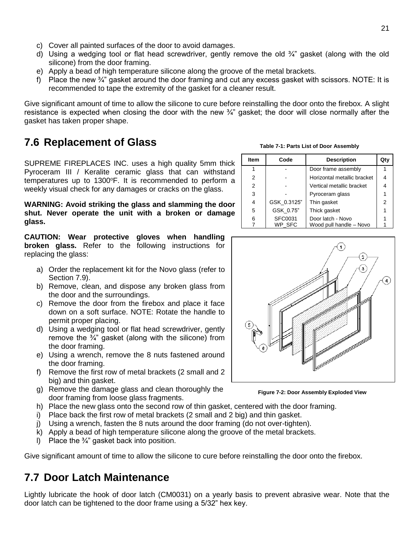- c) Cover all painted surfaces of the door to avoid damages.
- d) Using a wedging tool or flat head screwdriver, gently remove the old  $\frac{3}{4}$  gasket (along with the old silicone) from the door framing.
- e) Apply a bead of high temperature silicone along the groove of the metal brackets.
- f) Place the new  $\frac{3}{4}$  gasket around the door framing and cut any excess gasket with scissors. NOTE: It is recommended to tape the extremity of the gasket for a cleaner result.

Give significant amount of time to allow the silicone to cure before reinstalling the door onto the firebox. A slight resistance is expected when closing the door with the new <sup>3</sup>/4" gasket; the door will close normally after the gasket has taken proper shape.

### <span id="page-23-0"></span>**7.6 Replacement of Glass**

SUPREME FIREPLACES INC. uses a high quality 5mm thick Pyroceram III / Keralite ceramic glass that can withstand temperatures up to 1300°F. It is recommended to perform a weekly visual check for any damages or cracks on the glass.

**WARNING: Avoid striking the glass and slamming the door shut. Never operate the unit with a broken or damage glass.**

**CAUTION: Wear protective gloves when handling broken glass.** Refer to the following instructions for replacing the glass:

- a) Order the replacement kit for the Novo glass (refer to Section 7.9).
- b) Remove, clean, and dispose any broken glass from the door and the surroundings.
- c) Remove the door from the firebox and place it face down on a soft surface. NOTE: Rotate the handle to permit proper placing.
- d) Using a wedging tool or flat head screwdriver, gently remove the  $\frac{3}{4}$ " gasket (along with the silicone) from the door framing.
- e) Using a wrench, remove the 8 nuts fastened around the door framing.
- f) Remove the first row of metal brackets (2 small and 2 big) and thin gasket.
- g) Remove the damage glass and clean thoroughly the door framing from loose glass fragments.
- h) Place the new glass onto the second row of thin gasket, centered with the door framing.
- i) Place back the first row of metal brackets (2 small and 2 big) and thin gasket.
- j) Using a wrench, fasten the 8 nuts around the door framing (do not over-tighten).
- k) Apply a bead of high temperature silicone along the groove of the metal brackets.
- I) Place the  $\frac{3}{4}$  gasket back into position.

Give significant amount of time to allow the silicone to cure before reinstalling the door onto the firebox.

#### <span id="page-23-1"></span>**7.7 Door Latch Maintenance**

Lightly lubricate the hook of door latch (CM0031) on a yearly basis to prevent abrasive wear. Note that the door latch can be tightened to the door frame using a 5/32" hex key.

| Item           | Code        | <b>Description</b>          | Qty |
|----------------|-------------|-----------------------------|-----|
|                |             | Door frame assembly         |     |
| 2              |             | Horizontal metallic bracket | 4   |
| $\overline{2}$ |             | Vertical metallic bracket   | 4   |
| 3              |             | Pyroceram glass             |     |
| 4              | GSK 0.3125" | Thin gasket                 | 2   |
| 5              | GSK 0.75"   | Thick gasket                |     |
| 6              | SFC0031     | Door latch - Novo           |     |
|                | WP SFC      | Wood pull handle - Novo     |     |

**Table 7-1: Parts List of Door Assembly**



**Figure 7-2: Door Assembly Exploded View**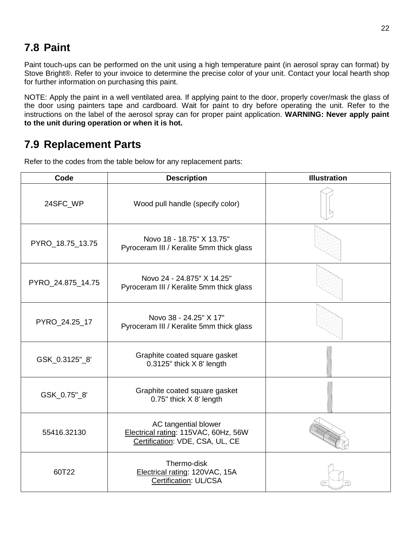### <span id="page-24-0"></span>**7.8 Paint**

Paint touch-ups can be performed on the unit using a high temperature paint (in aerosol spray can format) by Stove Bright®. Refer to your invoice to determine the precise color of your unit. Contact your local hearth shop for further information on purchasing this paint.

NOTE: Apply the paint in a well ventilated area. If applying paint to the door, properly cover/mask the glass of the door using painters tape and cardboard. Wait for paint to dry before operating the unit. Refer to the instructions on the label of the aerosol spray can for proper paint application. **WARNING: Never apply paint to the unit during operation or when it is hot.**

#### <span id="page-24-1"></span>**7.9 Replacement Parts**

| Code              | <b>Description</b>                                                                              | <b>Illustration</b> |
|-------------------|-------------------------------------------------------------------------------------------------|---------------------|
| 24SFC WP          | Wood pull handle (specify color)                                                                |                     |
| PYRO_18.75_13.75  | Novo 18 - 18.75" X 13.75"<br>Pyroceram III / Keralite 5mm thick glass                           |                     |
| PYRO_24.875_14.75 | Novo 24 - 24.875" X 14.25"<br>Pyroceram III / Keralite 5mm thick glass                          |                     |
| PYRO_24.25_17     | Novo 38 - 24.25" X 17"<br>Pyroceram III / Keralite 5mm thick glass                              |                     |
| GSK_0.3125"_8'    | Graphite coated square gasket<br>0.3125" thick X 8' length                                      |                     |
| GSK_0.75"_8'      | Graphite coated square gasket<br>0.75" thick X 8' length                                        |                     |
| 55416.32130       | AC tangential blower<br>Electrical rating: 115VAC, 60Hz, 56W<br>Certification: VDE, CSA, UL, CE |                     |
| 60T22             | Thermo-disk<br>Electrical rating: 120VAC, 15A<br>Certification: UL/CSA                          |                     |

Refer to the codes from the table below for any replacement parts: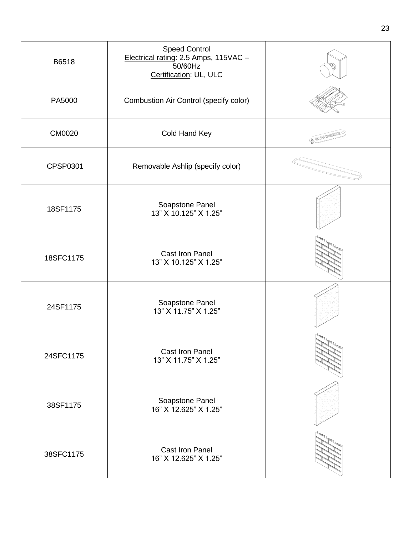| B6518         | <b>Speed Control</b><br>Electrical rating: 2.5 Amps, 115VAC -<br>50/60Hz<br>Certification: UL, ULC |                   |
|---------------|----------------------------------------------------------------------------------------------------|-------------------|
| PA5000        | Combustion Air Control (specify color)                                                             |                   |
| <b>CM0020</b> | Cold Hand Key                                                                                      | <b>C SUPPLIRE</b> |
| CPSP0301      | Removable Ashlip (specify color)                                                                   |                   |
| 18SF1175      | Soapstone Panel<br>13" X 10.125" X 1.25"                                                           |                   |
| 18SFC1175     | Cast Iron Panel<br>13" X 10.125" X 1.25"                                                           |                   |
| 24SF1175      | Soapstone Panel<br>13" X 11.75" X 1.25"                                                            |                   |
| 24SFC1175     | Cast Iron Panel<br>13" X 11.75" X 1.25"                                                            |                   |
| 38SF1175      | Soapstone Panel<br>16" X 12.625" X 1.25"                                                           |                   |
| 38SFC1175     | Cast Iron Panel<br>16" X 12.625" X 1.25"                                                           |                   |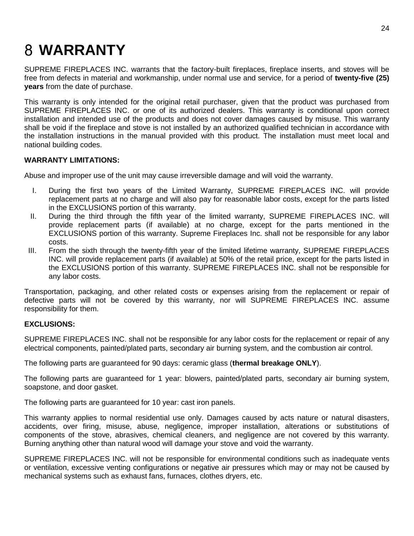# <span id="page-26-0"></span>**WARRANTY**

SUPREME FIREPLACES INC. warrants that the factory-built fireplaces, fireplace inserts, and stoves will be free from defects in material and workmanship, under normal use and service, for a period of **twenty-five (25) years** from the date of purchase.

This warranty is only intended for the original retail purchaser, given that the product was purchased from SUPREME FIREPLACES INC. or one of its authorized dealers. This warranty is conditional upon correct installation and intended use of the products and does not cover damages caused by misuse. This warranty shall be void if the fireplace and stove is not installed by an authorized qualified technician in accordance with the installation instructions in the manual provided with this product. The installation must meet local and national building codes.

#### **WARRANTY LIMITATIONS:**

Abuse and improper use of the unit may cause irreversible damage and will void the warranty.

- I. During the first two years of the Limited Warranty, SUPREME FIREPLACES INC. will provide replacement parts at no charge and will also pay for reasonable labor costs, except for the parts listed in the EXCLUSIONS portion of this warranty.
- II. During the third through the fifth year of the limited warranty, SUPREME FIREPLACES INC. will provide replacement parts (if available) at no charge, except for the parts mentioned in the EXCLUSIONS portion of this warranty. Supreme Fireplaces Inc. shall not be responsible for any labor costs.
- III. From the sixth through the twenty-fifth year of the limited lifetime warranty, SUPREME FIREPLACES INC. will provide replacement parts (if available) at 50% of the retail price, except for the parts listed in the EXCLUSIONS portion of this warranty. SUPREME FIREPLACES INC. shall not be responsible for any labor costs.

Transportation, packaging, and other related costs or expenses arising from the replacement or repair of defective parts will not be covered by this warranty, nor will SUPREME FIREPLACES INC. assume responsibility for them.

#### **EXCLUSIONS:**

SUPREME FIREPLACES INC. shall not be responsible for any labor costs for the replacement or repair of any electrical components, painted/plated parts, secondary air burning system, and the combustion air control.

The following parts are guaranteed for 90 days: ceramic glass (**thermal breakage ONLY**).

The following parts are guaranteed for 1 year: blowers, painted/plated parts, secondary air burning system, soapstone, and door gasket.

The following parts are guaranteed for 10 year: cast iron panels.

This warranty applies to normal residential use only. Damages caused by acts nature or natural disasters, accidents, over firing, misuse, abuse, negligence, improper installation, alterations or substitutions of components of the stove, abrasives, chemical cleaners, and negligence are not covered by this warranty. Burning anything other than natural wood will damage your stove and void the warranty.

SUPREME FIREPLACES INC. will not be responsible for environmental conditions such as inadequate vents or ventilation, excessive venting configurations or negative air pressures which may or may not be caused by mechanical systems such as exhaust fans, furnaces, clothes dryers, etc.